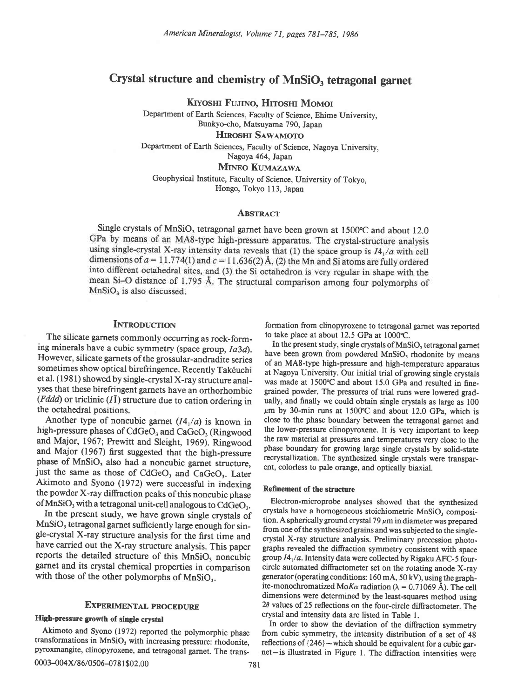# Crystal structure and chemistry of MnSiO, tetragonal garnet

Kiyoshi Fujino, Hitoshi Momoi

Department of Earth Sciences, Faculty of Science, Ehime University, Bunkyo-cho, Matsuyama 790, Japan HIROSHI SAWAMOTO

Department of Earth Sciences, Faculty of Science, Nagoya University, Nagoya 464, Japan

MINEO KUMAZAWA

Geophysical Institute, Faculty of Science, University of Tokyo, Hongo, Tokyo l13, Japan

## **ABSTRACT**

Single crystals of MnSiO<sub>3</sub> tetragonal garnet have been grown at  $1500^{\circ}$ C and about 12.0 GPa by means of an MA8-type high-pressure apparatus. The crystal-structure analysis using single-crystal X-ray intensity data reveals that (1) the space group is  $I4_1/a$  with cell dimensions of  $a = 11.774(1)$  and  $c = 11.636(2)$  Å, (2) the Mn and Si atoms are fully ordered into different octahedral sites, and (3) the Si octahedron is very regular in shape with the mean Si-O distance of 1.795 Å. The structural comparison among four polymorphs of MnSiO<sub>3</sub> is also discussed.

# **INTRODUCTION**

The silicate garnets commonly occurring as rock-forming minerals have a cubic symmetry (space group, Ia3d). However, silicate garnets of the grossular-andradite series sometimes show optical birefringence. Recently Takéuchi et al. (1981) showed by single-crystal X-ray structure analyses that these birefringent garnets have an orthorhombic (*Fddd*) or triclinic ( $I\bar{I}$ ) structure due to cation ordering in the octahedral positions.

Another type of noncubic garnet  $(I4<sub>1</sub>/a)$  is known in high-pressure phases of CdGeO<sub>3</sub> and CaGeO<sub>3</sub> (Ringwood and Major, 1967; Prewitt and Sleight, 1969). Ringwood and Major (1967) first suggested that the high-pressure phase of MnSiO, also had a noncubic garnet structure, just the same as those of CdGeO<sub>3</sub> and CaGeO<sub>3</sub>. Later Akimoto and Syono (1972) were successful in indexing the powder X-ray diffraction peaks of this noncubic phase of  $MnSiO<sub>3</sub>$  with a tetragonal unit-cell analogous to  $CdGeO<sub>3</sub>$ .

In the present study, we have grown single crystals of MnSiO, tetragonal garnet sufficiently large enough for single-crystal X-ray structure analysis for the first time and have carried out the X-ray structure analysis. This paper reports the detailed structure of this MnSiO, noncubic garnet and its crystal chemical properties in comparison with those of the other polymorphs of  $MnSiO<sub>3</sub>$ .

## EXPERIMENTAL PROCEDURE

## High-pressure growth of single crystat

Akimoto and Syono (1972) reported the polymorphic phase transformations in MnSiO, with increasing pressure: rhodonite, pyroxmangite, clinopyroxene, and tetragonal garnet. The trans\_

0003-004X/86/0506-0781\$02.00 781

formation from clinopyroxene to tetragonal garnet was reported to take place at about 12.5 GPa at 1000°C.

In the present study, single crystals of  $MnSiO<sub>3</sub>$  tetragonal garnet have been grown from powdered MnSiO, rhodonite by means of an MA8-type high-pressure and high-temperature apparatus at Nagoya University. Our initial trial of growing single crystals was made at 1500"C and about 15.0 GPa and resulted in finegrained powder. The pressures of trial runs were lowered gradually, and finally we could obtain single crystals as large as 100  $\mu$ m by 30-min runs at 1500°C and about 12.0 GPa, which is close to the phase boundary between the tetragonal garnet and the lower-pressure clinopyroxene. It is very important to keep the raw material at pressures and temperatures very close to the phase boundary for growing large single crystals by solid-state recrystallization. The synthesized single crystals were transparent, colorless to pale orange, and optically biaxial.

## Refinement of the structure

Electron-microprobe analyses showed that the synthesized crystals have a homogeneous stoichiometric MnSiO, composition. A spherically ground crystal 79  $\mu$ m in diameter was prepared from one of the synthesized grains and was subjected to the singlecrystal X-ray structure analysis. Preliminary precession photographs revealed the diffraction symmetry consistent with space group  $I4_1/a$ . Intensity data were collected by Rigaku AFC-5 fourcircle automated diftactometer set on the rotating anode X-ray generator (operating conditions:  $160$  mA,  $50$  kV), using the graphite-monochromatized Mo*K* $\alpha$  radiation ( $\lambda = 0.71069$  Å). The cell dimensions were determined by the least-squares method using  $2\theta$  values of 25 reflections on the four-circle diffractometer. The crystal and intensity data are listed in Table l.

In order to show the deviation of the difraction symmetry from cubic symmetry, the intensity distribution of a set of 4g reflections of  ${246}$  -which should be equivalent for a cubic garnet-is illustrated in Figure l. The diftaction intensities were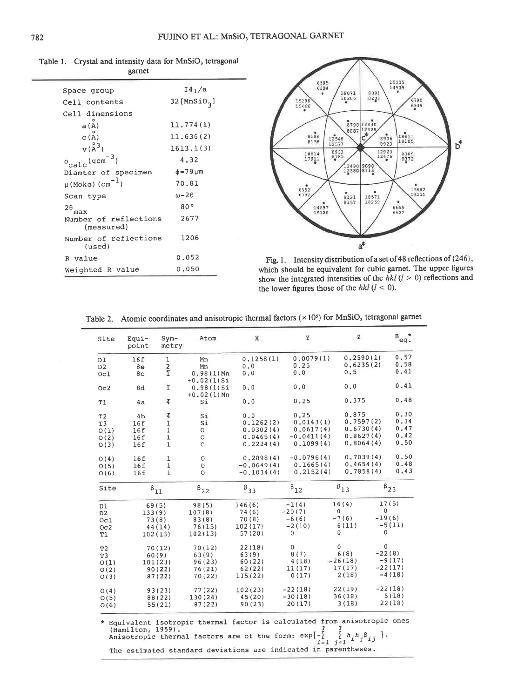| Space group                            | I4/2                     |
|----------------------------------------|--------------------------|
| Cell contents                          | 32 [MnSiO <sub>2</sub> ] |
| Cell dimensions                        |                          |
| a(A)                                   | 11.774(1)                |
| C(A)                                   | 11.636(2)                |
| $v(A^3)$                               | 1613.1(3)                |
| $\rho_{\rm calc}$ (gcm <sup>-3</sup> ) | 4.32                     |
| Diamter of specimen                    | $\phi = 79 \mu m$        |
| $\mu$ (Moka) (cm <sup>-1</sup> )       | 70.81                    |
| Scan type                              | $\omega - 2\theta$       |
| $^{2\theta}$ max                       | 80°                      |
| Number of reflections<br>(measured)    | 2677                     |
| Number of reflections<br>(used)        | 1206                     |
| R value                                | 0.052                    |
| Weighted R value                       | 0.050                    |

Table 1. Crystal and intensity data for MnSiO<sub>3</sub> tetragonal garnet



Fig. 1. Intensity distribution of a set of 48 reflections of {246}, which should be equivalent for cubic garnet. The upper figures show the integrated intensities of the  $hkl$  ( $l > 0$ ) reflections and the lower figures those of the  $hkl$  ( $l < 0$ ).

| Equi-<br>point | $Sym-$<br>metry                                   | Atom                                                                                                                                                                                                                     | x                                                                                                                                                            | У                                                                                  | $\mathbf{z}$                                                                                                                                                                        |                                                                                                                                                  | $\mathbf{B}_{\text{eq}}$ .                                                                                                            |
|----------------|---------------------------------------------------|--------------------------------------------------------------------------------------------------------------------------------------------------------------------------------------------------------------------------|--------------------------------------------------------------------------------------------------------------------------------------------------------------|------------------------------------------------------------------------------------|-------------------------------------------------------------------------------------------------------------------------------------------------------------------------------------|--------------------------------------------------------------------------------------------------------------------------------------------------|---------------------------------------------------------------------------------------------------------------------------------------|
| 16f            | ı                                                 | Mn                                                                                                                                                                                                                       | 0.1258(1)                                                                                                                                                    | 0.0079(1)                                                                          | 0.2590(1)                                                                                                                                                                           |                                                                                                                                                  | 0.57                                                                                                                                  |
| 8e             |                                                   | Mn                                                                                                                                                                                                                       | 0.0                                                                                                                                                          | 0.25                                                                               | 0.6235(2)                                                                                                                                                                           |                                                                                                                                                  | 0.58                                                                                                                                  |
| 8c             |                                                   | $0.98(1)$ Mn                                                                                                                                                                                                             | 0.0                                                                                                                                                          | 0.0                                                                                | 0.5                                                                                                                                                                                 |                                                                                                                                                  | 0.41                                                                                                                                  |
| 8d             | ī                                                 | 0.98(1)Si                                                                                                                                                                                                                | 0.0                                                                                                                                                          | 0.0                                                                                | 0.0                                                                                                                                                                                 |                                                                                                                                                  | 0.41                                                                                                                                  |
| 4a             | $\overline{4}$                                    | Si                                                                                                                                                                                                                       | 0.0                                                                                                                                                          | 0.25                                                                               | 0.375                                                                                                                                                                               |                                                                                                                                                  | 0.48                                                                                                                                  |
|                |                                                   |                                                                                                                                                                                                                          |                                                                                                                                                              |                                                                                    | 0.875                                                                                                                                                                               |                                                                                                                                                  | 0.30                                                                                                                                  |
|                |                                                   |                                                                                                                                                                                                                          |                                                                                                                                                              |                                                                                    |                                                                                                                                                                                     |                                                                                                                                                  | 0.34                                                                                                                                  |
|                |                                                   |                                                                                                                                                                                                                          |                                                                                                                                                              |                                                                                    |                                                                                                                                                                                     |                                                                                                                                                  | 0.47                                                                                                                                  |
|                |                                                   |                                                                                                                                                                                                                          |                                                                                                                                                              |                                                                                    |                                                                                                                                                                                     |                                                                                                                                                  | 0.42                                                                                                                                  |
| 16f            | $\mathbf{I}$                                      | $\circ$                                                                                                                                                                                                                  |                                                                                                                                                              |                                                                                    |                                                                                                                                                                                     |                                                                                                                                                  | 0.50                                                                                                                                  |
|                |                                                   |                                                                                                                                                                                                                          |                                                                                                                                                              |                                                                                    |                                                                                                                                                                                     |                                                                                                                                                  | 0.50                                                                                                                                  |
|                |                                                   |                                                                                                                                                                                                                          |                                                                                                                                                              |                                                                                    |                                                                                                                                                                                     |                                                                                                                                                  | 0.48                                                                                                                                  |
| 16f            | $\mathbf{1}$                                      | $\Omega$                                                                                                                                                                                                                 |                                                                                                                                                              |                                                                                    |                                                                                                                                                                                     |                                                                                                                                                  | 0.43                                                                                                                                  |
|                |                                                   | $\beta_{22}$                                                                                                                                                                                                             | $\beta_{33}$                                                                                                                                                 | $\boldsymbol{\beta}_{12}$                                                          | $\boldsymbol{\beta}_{13}$                                                                                                                                                           |                                                                                                                                                  | $\beta_{23}$                                                                                                                          |
|                |                                                   |                                                                                                                                                                                                                          |                                                                                                                                                              |                                                                                    | 16(4)                                                                                                                                                                               |                                                                                                                                                  |                                                                                                                                       |
|                |                                                   |                                                                                                                                                                                                                          |                                                                                                                                                              |                                                                                    | 0                                                                                                                                                                                   | 0                                                                                                                                                |                                                                                                                                       |
|                |                                                   |                                                                                                                                                                                                                          |                                                                                                                                                              |                                                                                    |                                                                                                                                                                                     |                                                                                                                                                  |                                                                                                                                       |
|                |                                                   |                                                                                                                                                                                                                          |                                                                                                                                                              |                                                                                    |                                                                                                                                                                                     |                                                                                                                                                  | $-5(11)$                                                                                                                              |
|                |                                                   | 102(13)                                                                                                                                                                                                                  | 57(20)                                                                                                                                                       | 0                                                                                  | 0                                                                                                                                                                                   | $\mathsf{O}\xspace$                                                                                                                              |                                                                                                                                       |
|                |                                                   |                                                                                                                                                                                                                          |                                                                                                                                                              |                                                                                    | 0                                                                                                                                                                                   | $\pmb{0}$                                                                                                                                        |                                                                                                                                       |
|                |                                                   |                                                                                                                                                                                                                          |                                                                                                                                                              |                                                                                    |                                                                                                                                                                                     |                                                                                                                                                  |                                                                                                                                       |
|                |                                                   |                                                                                                                                                                                                                          |                                                                                                                                                              |                                                                                    |                                                                                                                                                                                     |                                                                                                                                                  | -9 (17)                                                                                                                               |
|                |                                                   |                                                                                                                                                                                                                          |                                                                                                                                                              |                                                                                    |                                                                                                                                                                                     |                                                                                                                                                  |                                                                                                                                       |
|                |                                                   | 70(22)                                                                                                                                                                                                                   | 115 (22)                                                                                                                                                     | 0(17)                                                                              | 2(18)                                                                                                                                                                               |                                                                                                                                                  | $-4(18)$                                                                                                                              |
|                | 93(23)                                            | 77(22)                                                                                                                                                                                                                   | 102(23)                                                                                                                                                      | $-22(18)$                                                                          | 22(19)                                                                                                                                                                              |                                                                                                                                                  | $-22(18)$                                                                                                                             |
|                | 88 (22)                                           | 130(24)                                                                                                                                                                                                                  | 45(20)                                                                                                                                                       | $-30(18)$                                                                          | 36(18)                                                                                                                                                                              |                                                                                                                                                  | 5(18)                                                                                                                                 |
|                | 55(21)                                            | 87(22)                                                                                                                                                                                                                   | 90(23)                                                                                                                                                       | 20(17)                                                                             | 3(18)                                                                                                                                                                               |                                                                                                                                                  | 22(18)                                                                                                                                |
|                | 4 <sub>b</sub><br>16f<br>16f<br>16f<br>16f<br>16f | $\frac{2}{1}$<br>$\overline{4}$<br>1<br>$\mathbf{1}$<br>$\mathbf 1$<br>ı<br>$\mathbf{1}$<br>$\boldsymbol{\beta}_{11}$<br>69(5)<br>133(9)<br>73(8)<br>44(14)<br>102(13)<br>70(12)<br>60(9)<br>101(23)<br>90(22)<br>87(22) | $+0.02(1)Si$<br>$+0.02(1)$ Mn<br>Si<br>Si<br>$\circ$<br>$\circ$<br>$\circ$<br>O<br>98(5)<br>107(8)<br>83(8)<br>76(15)<br>70(12)<br>63(9)<br>96(23)<br>76(21) | 0.0<br>146(6)<br>74 (6)<br>70(8)<br>102(17)<br>22(18)<br>63(9)<br>60(22)<br>62(22) | 0.25<br>0.1262(2)<br>0.0302(4)<br>0.0465(4)<br>0.2224(4)<br>0.2098(4)<br>$-0.0649(4)$<br>$-0.1034(4)$<br>$-1(4)$<br>$-20(7)$<br>$-6(6)$<br>$-2(10)$<br>0<br>8(7)<br>4(18)<br>11(17) | 0.0143(1)<br>0.0617(4)<br>$-0.0411(4)$<br>0.1099(4)<br>$-0.0796(4)$<br>0.1665(4)<br>0.2152(4)<br>$-7(6)$<br>6(11)<br>6(8)<br>$-26(18)$<br>17(17) | 0.7597(2)<br>0.6730(4)<br>0,8627(4)<br>0.8064(4)<br>0.7039(4)<br>0.4654(4)<br>0.7858(4)<br>17(5)<br>$-19(6)$<br>$-22(8)$<br>$-22(17)$ |

Table 2. Atomic coordinates and anisotropic thermal factors  $(\times 10^5)$  for MnSiO<sub>3</sub> tetragonal garnet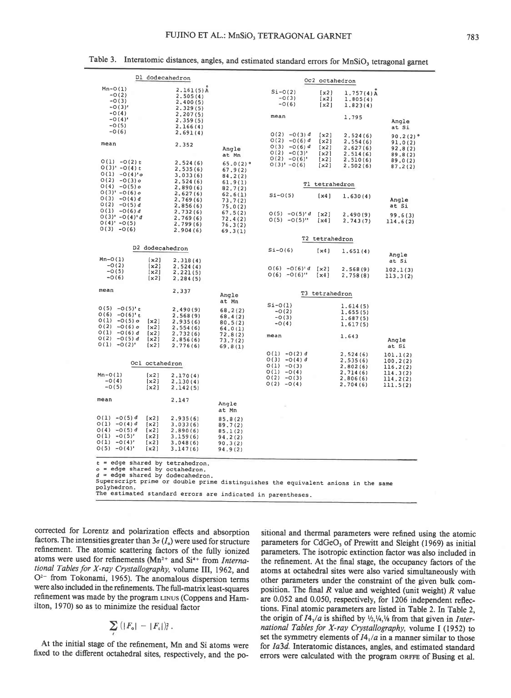| D1 dodecahedron                                                                                                                                                                                                                                                          | Oc2 octahedron                                                                                                       |                                                                |                                                       |                      |                                              |                                   |  |  |
|--------------------------------------------------------------------------------------------------------------------------------------------------------------------------------------------------------------------------------------------------------------------------|----------------------------------------------------------------------------------------------------------------------|----------------------------------------------------------------|-------------------------------------------------------|----------------------|----------------------------------------------|-----------------------------------|--|--|
| $Mn-O(1)$<br>$-0(2)$<br>$-0(3)$<br>$-0(3)$ <sup>t</sup>                                                                                                                                                                                                                  | $2.161(5)$ A<br>2.505(4)<br>2,400(5)<br>2.329(5)                                                                     |                                                                | $Si-O(2)$<br>$-0(3)$<br>$-0(6)$                       | [x2]<br>[x2]<br>[x2] | $1.757(4)$ A<br>1.805(4)<br>1.823(4)         |                                   |  |  |
| $-0(4)$<br>$-O(4)$ '<br>$-0(5)$                                                                                                                                                                                                                                          | 2, 207(5)<br>2, 359(5)<br>2.166(4)                                                                                   |                                                                | mean                                                  |                      | 1.795                                        | Angle<br>at Si                    |  |  |
| $-0(6)$<br>mean                                                                                                                                                                                                                                                          | 2.691(4)<br>2.352                                                                                                    |                                                                | $O(2) - O(3) d$<br>$O(2) - O(6) d$                    | [x2]<br>[x2]         | 2.524(6)<br>2,554(6)                         | $90.2(2)$ <sup>o</sup><br>91.0(2) |  |  |
|                                                                                                                                                                                                                                                                          |                                                                                                                      | Angle<br>at Mn                                                 | O(3)<br>$-0(6) d$<br>$O(2) - O(3)$ '<br>$O(2) - O(6)$ | [x2]<br>[x2]<br>[x2] | 2.627(6)<br>2.514(6)<br>2.510(6)             | 92,8(2)<br>89.8(2)<br>89.0(2)     |  |  |
| $O(1) - O(2) t$<br>$O(3)' - O(4) t$<br>$O(1) - O(4)'$ o                                                                                                                                                                                                                  | 2.524(6)<br>2.535(6)<br>3.033(6)                                                                                     | $65.0(2)$ <sup>o</sup><br>67.9(2)<br>84, 2(2)                  | $O(3)' - O(6)$                                        | [x2]                 | 2,502(6)                                     | 87.2(2)                           |  |  |
| $O(2) - O(3) o$<br>$O(4) - O(5) o$                                                                                                                                                                                                                                       | 2.524(6)<br>2.890(6)                                                                                                 | 61.9(1)<br>82.7(2)                                             |                                                       | Tl tetrahedron       |                                              |                                   |  |  |
| $O(3)' - O(6)$ o<br>$O(3) - O(4) d$<br>$O(2) -O(5) d$                                                                                                                                                                                                                    | 2,627(6)<br>2,769(6)<br>2.856(6)                                                                                     | 62.6(1)<br>73.7(2)<br>75,0(2)                                  | $Si-O(5)$                                             | [x4]                 | 1.630(4)                                     | Angle<br>at Si                    |  |  |
| $O(1) - O(6) d$<br>$O(3)' - O(4)'d$<br>$O(4)' - O(5)$<br>$O(3) - O(6)$                                                                                                                                                                                                   | 2.732(6)<br>2.769(6)<br>2.799(6)                                                                                     | 67.5(2)<br>72.4(2)<br>76.3(2)                                  | $O(5) - O(5)^d$<br>$0(5) -0(5)$ "                     | [x2]<br>[x4]         | 2.490(9)<br>2.743(7)                         | 99.6(3)<br>114.6(2)               |  |  |
|                                                                                                                                                                                                                                                                          | 2.904(6)                                                                                                             | 69.3(1)                                                        |                                                       | T2 tetrahedron       |                                              |                                   |  |  |
| $Mn-O(1)$                                                                                                                                                                                                                                                                | D2 dodecahedron<br>[x2]<br>2.318(4)                                                                                  |                                                                | $Si-O(6)$                                             | [x4]                 | 1.651(4)                                     | Angle<br>at Si                    |  |  |
| $-0(2)$<br>$-0(5)$<br>$-0(6)$                                                                                                                                                                                                                                            | [x2]<br>2,524(4)<br>[x2]<br>2, 221(5)<br>[x2]<br>2, 284(5)                                                           |                                                                | $O(6) - O(6)^d$<br>$O(6) - O(6)$ "                    | [x2]<br>[x4]         | 2.568(9)<br>2,758(8)                         | 102.1(3)<br>113.3(2)              |  |  |
| mean                                                                                                                                                                                                                                                                     | 2.337                                                                                                                | Angle                                                          |                                                       | T3 tetrahedron       |                                              |                                   |  |  |
| $O(5) - O(5)^{t} t$<br>$O(6) - O(6)^{t} t$<br>$O(1) - O(5) o$<br>$O(2) - O(6) o$<br>$O(1) - O(6) d$                                                                                                                                                                      | 2,490(9)<br>2.568(9)<br>[x2]<br>2.935(6)<br>[x2]<br>2.554(6)<br>[x2]                                                 | at Mn<br>68.2(2)<br>68.4(2)<br>80.5(2)<br>64.0(1)              | $Si-O(1)$<br>$-0(2)$<br>$-0(3)$<br>$-O(4)$            |                      | 1.614(5)<br>1,655(5)<br>1.687(5)<br>1.617(5) |                                   |  |  |
| $O(2) - O(5) d$<br>$O(1) - O(2)$ '                                                                                                                                                                                                                                       | 2.732(6)<br>[x2]<br>2,856(6)<br>[x2]<br>2.776(6)                                                                     | 72.8(2)<br>73.7(2)<br>69.8(1)                                  | mean                                                  |                      | 1.643                                        | Angle<br>at Si                    |  |  |
|                                                                                                                                                                                                                                                                          | Ocl octahedron                                                                                                       |                                                                | $O(1) - O(2) d$<br>$O(3) - O(4) d$<br>$O(1) - O(3)$   |                      | 2.524(6)<br>2.535(6)                         | 101.1(2)<br>100.2(2)              |  |  |
| $Mn-O(1)$                                                                                                                                                                                                                                                                | [x2]<br>2.170(4)                                                                                                     |                                                                | $O(1) - O(4)$<br>$O(2) - O(3)$                        |                      | 2.802(6)<br>2.714(6)<br>2.806(6)             | 116.2(2)<br>114.3(2)              |  |  |
| $-0(4)$<br>$-0(5)$                                                                                                                                                                                                                                                       | [x2]<br>2.130(4)<br>[x2]<br>2.142(5)                                                                                 |                                                                | $O(2) - O(4)$                                         |                      | 2.704(6)                                     | 114.2(2)<br>111.5(2)              |  |  |
| mean                                                                                                                                                                                                                                                                     | 2.147                                                                                                                | Angle<br>at Mn                                                 |                                                       |                      |                                              |                                   |  |  |
| $O(1) - O(5) d$<br>$O(1) - O(4) d$<br>$O(4) - O(5) d$<br>$O(1) - O(5)'$<br>$O(1) - O(4)'$<br>$O(5) - O(4)$                                                                                                                                                               | [x2]<br>2,935(6)<br>[x2]<br>3.033(6)<br>[x2]<br>2.890(6)<br>[x2]<br>3.159(6)<br>[x2]<br>3.048(6)<br>[x2]<br>3.147(6) | 85.8(2)<br>89.7(2)<br>85.1(2)<br>94.2(2)<br>90.3(2)<br>94.9(2) |                                                       |                      |                                              |                                   |  |  |
| t = edge shared by tetrahedron.<br>o = edge shared by octahedron.<br>d = edge shared by dodecahedron.<br>Superscript prime or double prime distinguishes the equivalent anions in the same<br>polyhedron.<br>The estimated standard errors are indicated in parentheses. |                                                                                                                      |                                                                |                                                       |                      |                                              |                                   |  |  |

Table 3. Interatomic distances, angles, and estimated standard errors for MnSiO, tetragonal garnet

corrected for Lorentz and polarization effects and absorption factors. The intensities greater than  $3\sigma(I_0)$  were used for structure refinement. The atomic scattering factors of the fully ionized atoms were used for refinements ( $Mn^{2+}$  and  $Si^{4+}$  from *Interna*tional Tables for X-ray Crystallography, volume III, 1962, and O<sup>2-</sup> from Tokonami, 1965). The anomalous dispersion terms were also included in the refinements. The full-matrix least-squares refinement was made by the program LINUS (Coppens and Hamilton, 1970) so as to minimize the residual factor

$$
\sum_i (|F_{\rm o}|-|F_{\rm c}|)^2.
$$

At the initial stage of the refinement, Mn and Si atoms were fixed to the different octahedral sites, respectively, and the po-

sitional and thermal parameters were refined using the atomic parameters for CdGeO<sub>3</sub> of Prewitt and Sleight (1969) as initial parameters. The isotropic extinction factor was also included in the refinement. At the final stage, the occupancy factors of the atoms at octahedral sites were also varied simultaneously with other parameters under the constraint of the given bulk composition. The final  $R$  value and weighted (unit weight)  $R$  value are 0.052 and 0.050, respectively, for 1206 independent reflections. Final atomic parameters are listed in Table 2. In Table 2, the origin of  $I4_1/a$  is shifted by  $\frac{1}{2}$ ,  $\frac{1}{4}$ ,  $\frac{1}{8}$  from that given in *Inter*national Tables for X-ray Crystallography, volume I (1952) to set the symmetry elements of  $I4_1/a$  in a manner similar to those for la3d. Interatomic distances, angles, and estimated standard errors were calculated with the program oRFFE of Busing et al.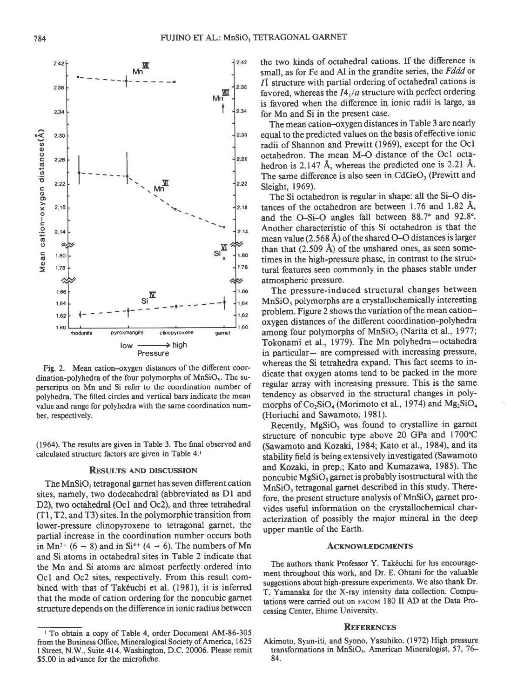164 160 164 162 160 rhodonite pyroxmangite clinopyroxene gamet  $low \longrightarrow high$ Pressure Fig. 2. Mean cation-oxygen distances of the different coordination-polyhedra of the four polymorphs of  $MnSiO<sub>3</sub>$ . The superscripts on Mn and Si refer to the coordination number of polyhedra. The filled circles and vertical bars indicate the mean

(1964). The results are given in Table 3. The final observed and calculated structure factors are given in Table 4.<sup>1</sup>

value and range for polyhedra with the same coordination num-

ber, respectively.

#### RESULTS AND DISCUSSION

The MnSiO, tetragonal garnet has seven different cation sites, namely, two dodecahedral (abbreviated as Dl and D2), two octahedral (Oc1 and Oc2), and three tetrahedral (Tl,T2, and T3) sites. In the polymorphic transition from lower-pressure clinopyroxene to tetragonal garnet, the partial increase in the coordination number occurs both in Mn<sup>2+</sup> (6  $\rightarrow$  8) and in Si<sup>4+</sup> (4  $\rightarrow$  6). The numbers of Mn and Si atoms in octahedral sites in Table 2 indicate that the Mn and Si atoms are almost perfectly ordered into Ocl and Oc2 sites, respectively. From this result combined with that of Takéuchi et al. (1981), it is inferred that the mode of cation ordering for the noncubic garnet structure depends on the difference in ionic radius between

the two kinds of octahedral cations. If the difference is small, as for Fe and Al in the grandite series, the Fddd or 11 structure with partial ordering of octahedral cations is favored, whereas the  $I4_1/a$  structure with perfect ordering is favored when the difference in ionic radii is large, as for Mn and Si in the present case.

The mean cation-oxygen distances in Table 3 are nearly equal to the predicted values on the basis ofeffective ionic radii of Shannon and Prewitt (1969), except for the Ocl octahedron. The mean M-O distance of the Ocl octahedron is 2.147 A, whereas the predicted one is 2.21 A. The same difference is also seen in CdGeO<sub>3</sub> (Prewitt and Sleight, 1969).

The Si octahedron is regular in shape: all the Si-O distances of the octahedron are between  $1.76$  and  $1.82$  Å, and the O-Si-O angles fall between 88.7° and 92.8°. Another characteristic of this Si octahedron is that the mean value (2.568 Å) of the shared O-O distances is larger than that  $(2.509 \text{ Å})$  of the unshared ones, as seen sometimes in the high-pressure phase, in contrast to the structural features seen commonly in the phases stable under atmospheric pressure.

The pressure-induced structural changes between MnSiO, polymorphs are a crystallochemically interesting problem. Figure 2 shows the variation of the mean cationoxygen distances of the ditrerent coordination-polyhedra among four polymorphs of MnSiO, (Narita et al., 1977; Tokonami et al., 1979). The Mn polyhedra-octahedra in particular- are compressed with increasing pressure, whereas the Si tetrahedra expand. This fact seems to indicate that oxygen atoms tend to be packed in the more regular array with increasing pressure. This is the same tendency as observed in the structural changes in polymorphs of  $Co_2SiO_4$  (Morimoto et al., 1974) and  $Mg_2SiO_4$ (Horiuchi and Sawamoto, l98l).

Recently, MgSiO, was found to crystallize in garnet structure of noncubic type above 20 GPa and 1700'C (Sawamoto and Kozaki, 1984; Kato et al., 1984), and its stability field is being extensively investigated (Sawamoto and Kozaki, in prep.; Kato and Kumazawa, 1985). The noncubic MgSiO, garnet is probably isostructural with the MnSiO, tetragonal garnet described in this study. Therefore, the present structure analysis of MnSiO, garnet provides useful information on the crystallochemical characterization of possibly the major mineral in the deep upper mantle of the Earth.

#### **ACKNOWLEDGMENTS**

The authors thank Professor Y. Takéuchi for his encouragement throughout this work, and Dr. E. Ohtani for the valuable suggestions about high-pressure experiments. We also thank Dr. T. Yamanaka for the X-ray intensity data collection. Computations were carried out on FAcoM 180 II AD at the Data Processing Center, Ehime University.

#### REFERENCES

Akimoto, Syun-iti, and Syono, Yasuhiko. (1972) High pressure transformations in MnSiO<sub>3</sub>. American Mineralogist, 57, 76– 84.



<sup>&#</sup>x27; To obtain a copy of Table 4, order Document AM-86-305 from the Business Office, Mineralogical Society of America, 1625 I Street, N.W., Suite 414, Washington, D.C. 20006. Please remit 35.00 in advance for the microfiche.